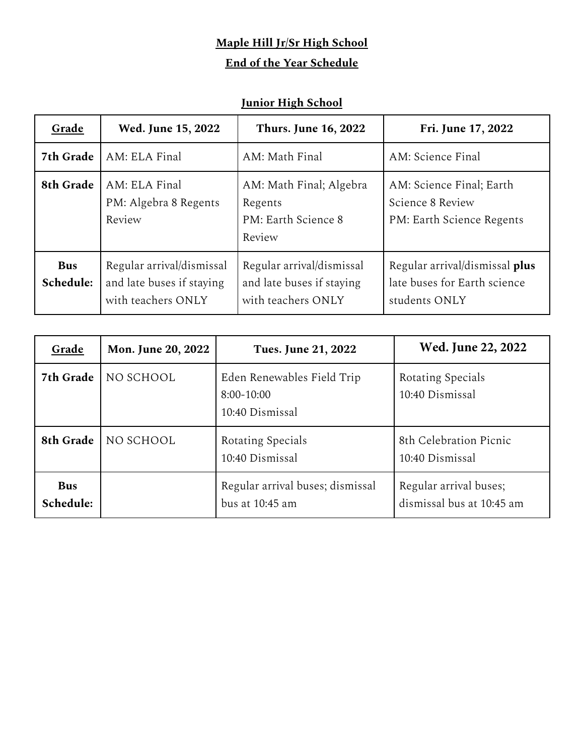## **Maple Hill Jr/Sr High School**

## **End of the Year Schedule**

## **Junior High School**

| Grade                   | Wed. June 15, 2022                                                           | <b>Thurs. June 16, 2022</b>                                                  | Fri. June 17, 2022                                                              |
|-------------------------|------------------------------------------------------------------------------|------------------------------------------------------------------------------|---------------------------------------------------------------------------------|
| 7th Grade               | AM: ELA Final                                                                | AM: Math Final                                                               | AM: Science Final                                                               |
| 8th Grade               | AM: ELA Final<br>PM: Algebra 8 Regents<br>Review                             | AM: Math Final; Algebra<br>Regents<br>PM: Earth Science 8<br>Review          | AM: Science Final; Earth<br>Science 8 Review<br>PM: Earth Science Regents       |
| <b>Bus</b><br>Schedule: | Regular arrival/dismissal<br>and late buses if staying<br>with teachers ONLY | Regular arrival/dismissal<br>and late buses if staying<br>with teachers ONLY | Regular arrival/dismissal plus<br>late buses for Earth science<br>students ONLY |

| Grade                   | Mon. June 20, 2022 | Tues. June 21, 2022                                           | Wed. June 22, 2022                                  |
|-------------------------|--------------------|---------------------------------------------------------------|-----------------------------------------------------|
| 7th Grade               | NO SCHOOL          | Eden Renewables Field Trip<br>$8:00-10:00$<br>10:40 Dismissal | Rotating Specials<br>10:40 Dismissal                |
| 8th Grade               | NO SCHOOL          | Rotating Specials<br>10:40 Dismissal                          | 8th Celebration Picnic<br>10:40 Dismissal           |
| <b>Bus</b><br>Schedule: |                    | Regular arrival buses; dismissal<br>bus at $10:45$ am         | Regular arrival buses;<br>dismissal bus at 10:45 am |